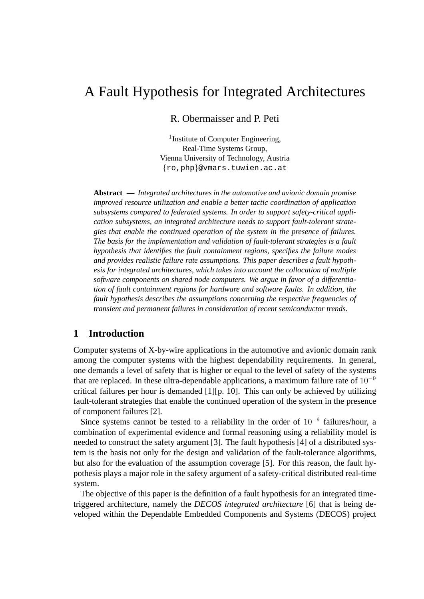# A Fault Hypothesis for Integrated Architectures

R. Obermaisser and P. Peti

<sup>1</sup>Institute of Computer Engineering, Real-Time Systems Group, Vienna University of Technology, Austria {ro,php}@vmars.tuwien.ac.at

**Abstract** — *Integrated architectures in the automotive and avionic domain promise improved resource utilization and enable a better tactic coordination of application subsystems compared to federated systems. In order to support safety-critical application subsystems, an integrated architecture needs to support fault-tolerant strategies that enable the continued operation of the system in the presence of failures. The basis for the implementation and validation of fault-tolerant strategies is a fault hypothesis that identifies the fault containment regions, specifies the failure modes and provides realistic failure rate assumptions. This paper describes a fault hypothesis for integrated architectures, which takes into account the collocation of multiple software components on shared node computers. We argue in favor of a differentiation of fault containment regions for hardware and software faults. In addition, the fault hypothesis describes the assumptions concerning the respective frequencies of transient and permanent failures in consideration of recent semiconductor trends.*

#### **1 Introduction**

Computer systems of X-by-wire applications in the automotive and avionic domain rank among the computer systems with the highest dependability requirements. In general, one demands a level of safety that is higher or equal to the level of safety of the systems that are replaced. In these ultra-dependable applications, a maximum failure rate of  $10^{-9}$ critical failures per hour is demanded [1][p. 10]. This can only be achieved by utilizing fault-tolerant strategies that enable the continued operation of the system in the presence of component failures [2].

Since systems cannot be tested to a reliability in the order of  $10^{-9}$  failures/hour, a combination of experimental evidence and formal reasoning using a reliability model is needed to construct the safety argument [3]. The fault hypothesis [4] of a distributed system is the basis not only for the design and validation of the fault-tolerance algorithms, but also for the evaluation of the assumption coverage [5]. For this reason, the fault hypothesis plays a major role in the safety argument of a safety-critical distributed real-time system.

The objective of this paper is the definition of a fault hypothesis for an integrated timetriggered architecture, namely the *DECOS integrated architecture* [6] that is being developed within the Dependable Embedded Components and Systems (DECOS) project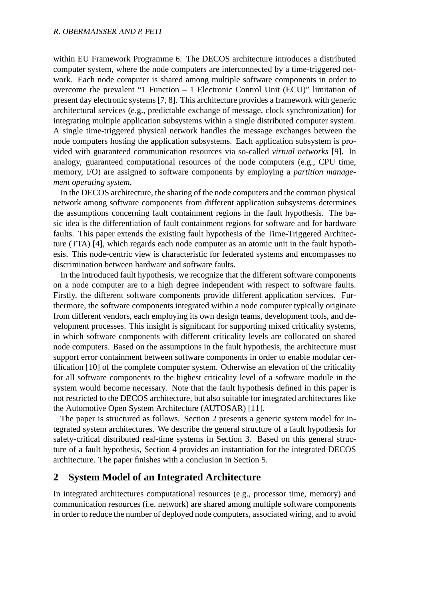within EU Framework Programme 6. The DECOS architecture introduces a distributed computer system, where the node computers are interconnected by a time-triggered network. Each node computer is shared among multiple software components in order to overcome the prevalent "1 Function – 1 Electronic Control Unit (ECU)" limitation of present day electronic systems [7, 8]. This architecture provides a framework with generic architectural services (e.g., predictable exchange of message, clock synchronization) for integrating multiple application subsystems within a single distributed computer system. A single time-triggered physical network handles the message exchanges between the node computers hosting the application subsystems. Each application subsystem is provided with guaranteed communication resources via so-called *virtual networks* [9]. In analogy, guaranteed computational resources of the node computers (e.g., CPU time, memory, I/O) are assigned to software components by employing a *partition management operating system*.

In the DECOS architecture, the sharing of the node computers and the common physical network among software components from different application subsystems determines the assumptions concerning fault containment regions in the fault hypothesis. The basic idea is the differentiation of fault containment regions for software and for hardware faults. This paper extends the existing fault hypothesis of the Time-Triggered Architecture (TTA) [4], which regards each node computer as an atomic unit in the fault hypothesis. This node-centric view is characteristic for federated systems and encompasses no discrimination between hardware and software faults.

In the introduced fault hypothesis, we recognize that the different software components on a node computer are to a high degree independent with respect to software faults. Firstly, the different software components provide different application services. Furthermore, the software components integrated within a node computer typically originate from different vendors, each employing its own design teams, development tools, and development processes. This insight is significant for supporting mixed criticality systems, in which software components with different criticality levels are collocated on shared node computers. Based on the assumptions in the fault hypothesis, the architecture must support error containment between software components in order to enable modular certification [10] of the complete computer system. Otherwise an elevation of the criticality for all software components to the highest criticality level of a software module in the system would become necessary. Note that the fault hypothesis defined in this paper is not restricted to the DECOS architecture, but also suitable for integrated architectures like the Automotive Open System Architecture (AUTOSAR) [11].

The paper is structured as follows. Section 2 presents a generic system model for integrated system architectures. We describe the general structure of a fault hypothesis for safety-critical distributed real-time systems in Section 3. Based on this general structure of a fault hypothesis, Section 4 provides an instantiation for the integrated DECOS architecture. The paper finishes with a conclusion in Section 5.

### **2 System Model of an Integrated Architecture**

In integrated architectures computational resources (e.g., processor time, memory) and communication resources (i.e. network) are shared among multiple software components in order to reduce the number of deployed node computers, associated wiring, and to avoid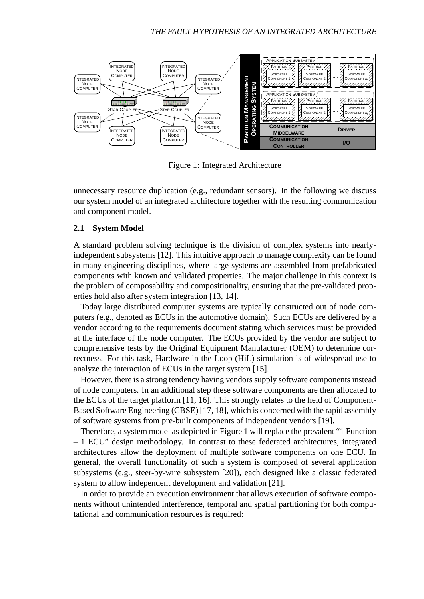

Figure 1: Integrated Architecture

unnecessary resource duplication (e.g., redundant sensors). In the following we discuss our system model of an integrated architecture together with the resulting communication and component model.

#### **2.1 System Model**

A standard problem solving technique is the division of complex systems into nearlyindependent subsystems [12]. This intuitive approach to manage complexity can be found in many engineering disciplines, where large systems are assembled from prefabricated components with known and validated properties. The major challenge in this context is the problem of composability and compositionality, ensuring that the pre-validated properties hold also after system integration [13, 14].

Today large distributed computer systems are typically constructed out of node computers (e.g., denoted as ECUs in the automotive domain). Such ECUs are delivered by a vendor according to the requirements document stating which services must be provided at the interface of the node computer. The ECUs provided by the vendor are subject to comprehensive tests by the Original Equipment Manufacturer (OEM) to determine correctness. For this task, Hardware in the Loop (HiL) simulation is of widespread use to analyze the interaction of ECUs in the target system [15].

However, there is a strong tendency having vendors supply software components instead of node computers. In an additional step these software components are then allocated to the ECUs of the target platform [11, 16]. This strongly relates to the field of Component-Based Software Engineering (CBSE) [17, 18], which is concerned with the rapid assembly of software systems from pre-built components of independent vendors [19].

Therefore, a system model as depicted in Figure 1 will replace the prevalent "1 Function – 1 ECU" design methodology. In contrast to these federated architectures, integrated architectures allow the deployment of multiple software components on one ECU. In general, the overall functionality of such a system is composed of several application subsystems (e.g., steer-by-wire subsystem [20]), each designed like a classic federated system to allow independent development and validation [21].

In order to provide an execution environment that allows execution of software components without unintended interference, temporal and spatial partitioning for both computational and communication resources is required: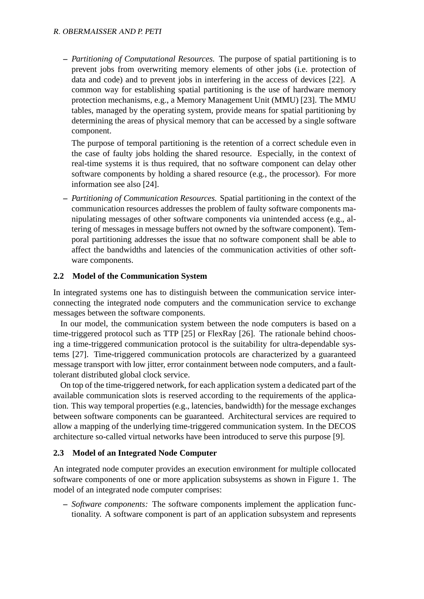#### R. OBERMAISSER AND P. PETI

**–** *Partitioning of Computational Resources.* The purpose of spatial partitioning is to prevent jobs from overwriting memory elements of other jobs (i.e. protection of data and code) and to prevent jobs in interfering in the access of devices [22]. A common way for establishing spatial partitioning is the use of hardware memory protection mechanisms, e.g., a Memory Management Unit (MMU) [23]. The MMU tables, managed by the operating system, provide means for spatial partitioning by determining the areas of physical memory that can be accessed by a single software component.

The purpose of temporal partitioning is the retention of a correct schedule even in the case of faulty jobs holding the shared resource. Especially, in the context of real-time systems it is thus required, that no software component can delay other software components by holding a shared resource (e.g., the processor). For more information see also [24].

**–** *Partitioning of Communication Resources.* Spatial partitioning in the context of the communication resources addresses the problem of faulty software components manipulating messages of other software components via unintended access (e.g., altering of messages in message buffers not owned by the software component). Temporal partitioning addresses the issue that no software component shall be able to affect the bandwidths and latencies of the communication activities of other software components.

### **2.2 Model of the Communication System**

In integrated systems one has to distinguish between the communication service interconnecting the integrated node computers and the communication service to exchange messages between the software components.

In our model, the communication system between the node computers is based on a time-triggered protocol such as TTP [25] or FlexRay [26]. The rationale behind choosing a time-triggered communication protocol is the suitability for ultra-dependable systems [27]. Time-triggered communication protocols are characterized by a guaranteed message transport with low jitter, error containment between node computers, and a faulttolerant distributed global clock service.

On top of the time-triggered network, for each application system a dedicated part of the available communication slots is reserved according to the requirements of the application. This way temporal properties (e.g., latencies, bandwidth) for the message exchanges between software components can be guaranteed. Architectural services are required to allow a mapping of the underlying time-triggered communication system. In the DECOS architecture so-called virtual networks have been introduced to serve this purpose [9].

#### **2.3 Model of an Integrated Node Computer**

An integrated node computer provides an execution environment for multiple collocated software components of one or more application subsystems as shown in Figure 1. The model of an integrated node computer comprises:

**–** *Software components:* The software components implement the application functionality. A software component is part of an application subsystem and represents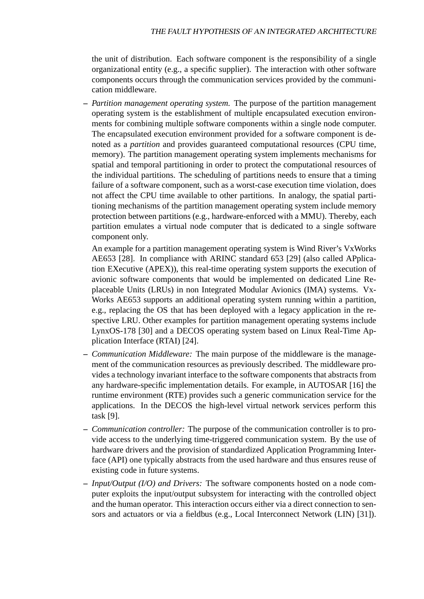the unit of distribution. Each software component is the responsibility of a single organizational entity (e.g., a specific supplier). The interaction with other software components occurs through the communication services provided by the communication middleware.

**–** *Partition management operating system.* The purpose of the partition management operating system is the establishment of multiple encapsulated execution environments for combining multiple software components within a single node computer. The encapsulated execution environment provided for a software component is denoted as a *partition* and provides guaranteed computational resources (CPU time, memory). The partition management operating system implements mechanisms for spatial and temporal partitioning in order to protect the computational resources of the individual partitions. The scheduling of partitions needs to ensure that a timing failure of a software component, such as a worst-case execution time violation, does not affect the CPU time available to other partitions. In analogy, the spatial partitioning mechanisms of the partition management operating system include memory protection between partitions (e.g., hardware-enforced with a MMU). Thereby, each partition emulates a virtual node computer that is dedicated to a single software component only.

An example for a partition management operating system is Wind River's VxWorks AE653 [28]. In compliance with ARINC standard 653 [29] (also called APplication EXecutive (APEX)), this real-time operating system supports the execution of avionic software components that would be implemented on dedicated Line Replaceable Units (LRUs) in non Integrated Modular Avionics (IMA) systems. Vx-Works AE653 supports an additional operating system running within a partition, e.g., replacing the OS that has been deployed with a legacy application in the respective LRU. Other examples for partition management operating systems include LynxOS-178 [30] and a DECOS operating system based on Linux Real-Time Application Interface (RTAI) [24].

- **–** *Communication Middleware:* The main purpose of the middleware is the management of the communication resources as previously described. The middleware provides a technology invariant interface to the software components that abstracts from any hardware-specific implementation details. For example, in AUTOSAR [16] the runtime environment (RTE) provides such a generic communication service for the applications. In the DECOS the high-level virtual network services perform this task [9].
- **–** *Communication controller:* The purpose of the communication controller is to provide access to the underlying time-triggered communication system. By the use of hardware drivers and the provision of standardized Application Programming Interface (API) one typically abstracts from the used hardware and thus ensures reuse of existing code in future systems.
- **–** *Input/Output (I/O) and Drivers:* The software components hosted on a node computer exploits the input/output subsystem for interacting with the controlled object and the human operator. This interaction occurs either via a direct connection to sensors and actuators or via a fieldbus (e.g., Local Interconnect Network (LIN) [31]).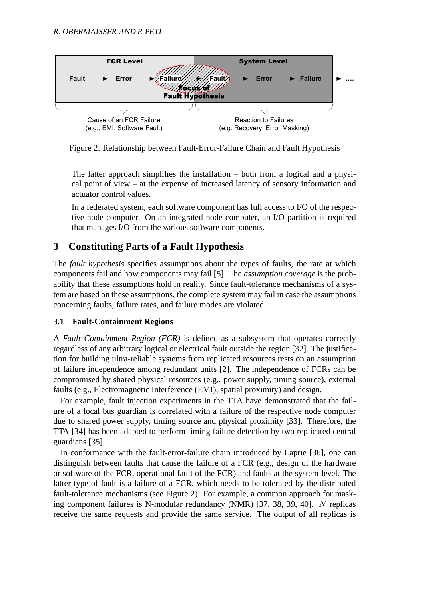

Figure 2: Relationship between Fault-Error-Failure Chain and Fault Hypothesis

The latter approach simplifies the installation – both from a logical and a physical point of view – at the expense of increased latency of sensory information and actuator control values.

In a federated system, each software component has full access to I/O of the respective node computer. On an integrated node computer, an I/O partition is required that manages I/O from the various software components.

## **3 Constituting Parts of a Fault Hypothesis**

The *fault hypothesis* specifies assumptions about the types of faults, the rate at which components fail and how components may fail [5]. The *assumption coverage* is the probability that these assumptions hold in reality. Since fault-tolerance mechanisms of a system are based on these assumptions, the complete system may fail in case the assumptions concerning faults, failure rates, and failure modes are violated.

### **3.1 Fault-Containment Regions**

A *Fault Containment Region (FCR)* is defined as a subsystem that operates correctly regardless of any arbitrary logical or electrical fault outside the region [32]. The justification for building ultra-reliable systems from replicated resources rests on an assumption of failure independence among redundant units [2]. The independence of FCRs can be compromised by shared physical resources (e.g., power supply, timing source), external faults (e.g., Electromagnetic Interference (EMI), spatial proximity) and design.

For example, fault injection experiments in the TTA have demonstrated that the failure of a local bus guardian is correlated with a failure of the respective node computer due to shared power supply, timing source and physical proximity [33]. Therefore, the TTA [34] has been adapted to perform timing failure detection by two replicated central guardians [35].

In conformance with the fault-error-failure chain introduced by Laprie [36], one can distinguish between faults that cause the failure of a FCR (e.g., design of the hardware or software of the FCR, operational fault of the FCR) and faults at the system-level. The latter type of fault is a failure of a FCR, which needs to be tolerated by the distributed fault-tolerance mechanisms (see Figure 2). For example, a common approach for masking component failures is N-modular redundancy (NMR) [37, 38, 39, 40]. N replicas receive the same requests and provide the same service. The output of all replicas is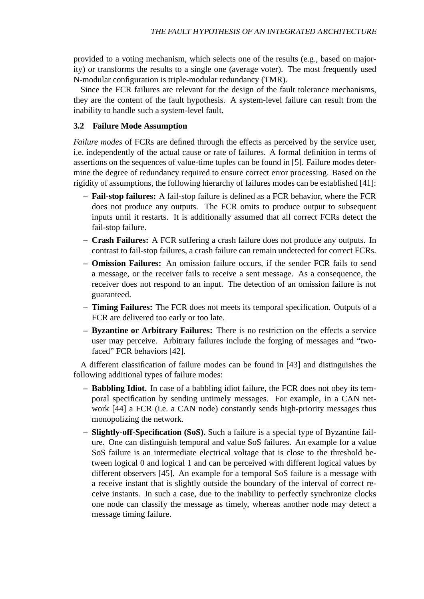provided to a voting mechanism, which selects one of the results (e.g., based on majority) or transforms the results to a single one (average voter). The most frequently used N-modular configuration is triple-modular redundancy (TMR).

Since the FCR failures are relevant for the design of the fault tolerance mechanisms, they are the content of the fault hypothesis. A system-level failure can result from the inability to handle such a system-level fault.

#### **3.2 Failure Mode Assumption**

*Failure modes* of FCRs are defined through the effects as perceived by the service user, i.e. independently of the actual cause or rate of failures. A formal definition in terms of assertions on the sequences of value-time tuples can be found in [5]. Failure modes determine the degree of redundancy required to ensure correct error processing. Based on the rigidity of assumptions, the following hierarchy of failures modes can be established [41]:

- **– Fail-stop failures:** A fail-stop failure is defined as a FCR behavior, where the FCR does not produce any outputs. The FCR omits to produce output to subsequent inputs until it restarts. It is additionally assumed that all correct FCRs detect the fail-stop failure.
- **– Crash Failures:** A FCR suffering a crash failure does not produce any outputs. In contrast to fail-stop failures, a crash failure can remain undetected for correct FCRs.
- **– Omission Failures:** An omission failure occurs, if the sender FCR fails to send a message, or the receiver fails to receive a sent message. As a consequence, the receiver does not respond to an input. The detection of an omission failure is not guaranteed.
- **– Timing Failures:** The FCR does not meets its temporal specification. Outputs of a FCR are delivered too early or too late.
- **– Byzantine or Arbitrary Failures:** There is no restriction on the effects a service user may perceive. Arbitrary failures include the forging of messages and "twofaced" FCR behaviors [42].

A different classification of failure modes can be found in [43] and distinguishes the following additional types of failure modes:

- **– Babbling Idiot.** In case of a babbling idiot failure, the FCR does not obey its temporal specification by sending untimely messages. For example, in a CAN network [44] a FCR (i.e. a CAN node) constantly sends high-priority messages thus monopolizing the network.
- **– Slightly-off-Specification (SoS).** Such a failure is a special type of Byzantine failure. One can distinguish temporal and value SoS failures. An example for a value SoS failure is an intermediate electrical voltage that is close to the threshold between logical 0 and logical 1 and can be perceived with different logical values by different observers [45]. An example for a temporal SoS failure is a message with a receive instant that is slightly outside the boundary of the interval of correct receive instants. In such a case, due to the inability to perfectly synchronize clocks one node can classify the message as timely, whereas another node may detect a message timing failure.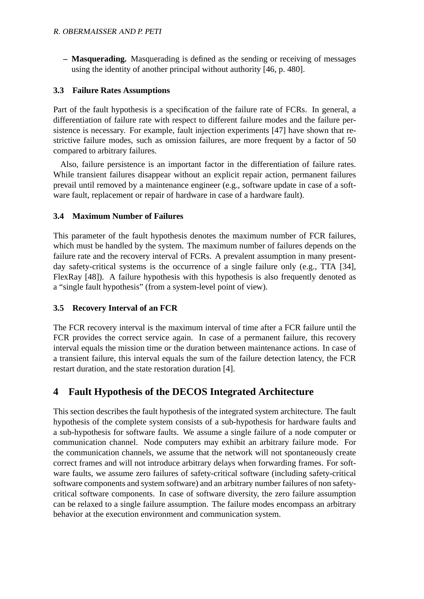**– Masquerading.** Masquerading is defined as the sending or receiving of messages using the identity of another principal without authority [46, p. 480].

### **3.3 Failure Rates Assumptions**

Part of the fault hypothesis is a specification of the failure rate of FCRs. In general, a differentiation of failure rate with respect to different failure modes and the failure persistence is necessary. For example, fault injection experiments [47] have shown that restrictive failure modes, such as omission failures, are more frequent by a factor of 50 compared to arbitrary failures.

Also, failure persistence is an important factor in the differentiation of failure rates. While transient failures disappear without an explicit repair action, permanent failures prevail until removed by a maintenance engineer (e.g., software update in case of a software fault, replacement or repair of hardware in case of a hardware fault).

### **3.4 Maximum Number of Failures**

This parameter of the fault hypothesis denotes the maximum number of FCR failures, which must be handled by the system. The maximum number of failures depends on the failure rate and the recovery interval of FCRs. A prevalent assumption in many presentday safety-critical systems is the occurrence of a single failure only (e.g., TTA [34], FlexRay [48]). A failure hypothesis with this hypothesis is also frequently denoted as a "single fault hypothesis" (from a system-level point of view).

### **3.5 Recovery Interval of an FCR**

The FCR recovery interval is the maximum interval of time after a FCR failure until the FCR provides the correct service again. In case of a permanent failure, this recovery interval equals the mission time or the duration between maintenance actions. In case of a transient failure, this interval equals the sum of the failure detection latency, the FCR restart duration, and the state restoration duration [4].

# **4 Fault Hypothesis of the DECOS Integrated Architecture**

This section describes the fault hypothesis of the integrated system architecture. The fault hypothesis of the complete system consists of a sub-hypothesis for hardware faults and a sub-hypothesis for software faults. We assume a single failure of a node computer or communication channel. Node computers may exhibit an arbitrary failure mode. For the communication channels, we assume that the network will not spontaneously create correct frames and will not introduce arbitrary delays when forwarding frames. For software faults, we assume zero failures of safety-critical software (including safety-critical software components and system software) and an arbitrary number failures of non safetycritical software components. In case of software diversity, the zero failure assumption can be relaxed to a single failure assumption. The failure modes encompass an arbitrary behavior at the execution environment and communication system.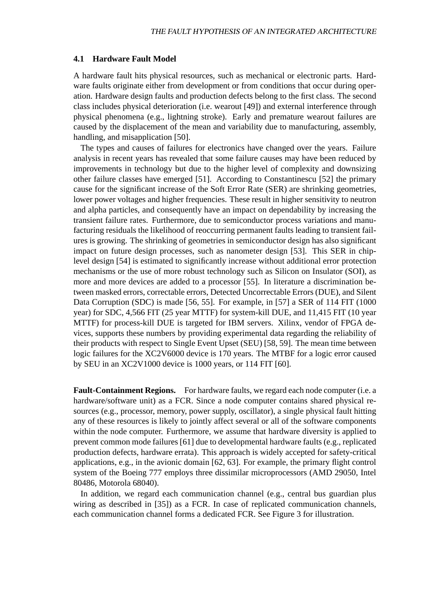#### **4.1 Hardware Fault Model**

A hardware fault hits physical resources, such as mechanical or electronic parts. Hardware faults originate either from development or from conditions that occur during operation. Hardware design faults and production defects belong to the first class. The second class includes physical deterioration (i.e. wearout [49]) and external interference through physical phenomena (e.g., lightning stroke). Early and premature wearout failures are caused by the displacement of the mean and variability due to manufacturing, assembly, handling, and misapplication [50].

The types and causes of failures for electronics have changed over the years. Failure analysis in recent years has revealed that some failure causes may have been reduced by improvements in technology but due to the higher level of complexity and downsizing other failure classes have emerged [51]. According to Constantinescu [52] the primary cause for the significant increase of the Soft Error Rate (SER) are shrinking geometries, lower power voltages and higher frequencies. These result in higher sensitivity to neutron and alpha particles, and consequently have an impact on dependability by increasing the transient failure rates. Furthermore, due to semiconductor process variations and manufacturing residuals the likelihood of reoccurring permanent faults leading to transient failures is growing. The shrinking of geometries in semiconductor design has also significant impact on future design processes, such as nanometer design [53]. This SER in chiplevel design [54] is estimated to significantly increase without additional error protection mechanisms or the use of more robust technology such as Silicon on Insulator (SOI), as more and more devices are added to a processor [55]. In literature a discrimination between masked errors, correctable errors, Detected Uncorrectable Errors (DUE), and Silent Data Corruption (SDC) is made [56, 55]. For example, in [57] a SER of 114 FIT (1000 year) for SDC, 4,566 FIT (25 year MTTF) for system-kill DUE, and 11,415 FIT (10 year MTTF) for process-kill DUE is targeted for IBM servers. Xilinx, vendor of FPGA devices, supports these numbers by providing experimental data regarding the reliability of their products with respect to Single Event Upset (SEU) [58, 59]. The mean time between logic failures for the XC2V6000 device is 170 years. The MTBF for a logic error caused by SEU in an XC2V1000 device is 1000 years, or 114 FIT [60].

**Fault-Containment Regions.** For hardware faults, we regard each node computer (i.e. a hardware/software unit) as a FCR. Since a node computer contains shared physical resources (e.g., processor, memory, power supply, oscillator), a single physical fault hitting any of these resources is likely to jointly affect several or all of the software components within the node computer. Furthermore, we assume that hardware diversity is applied to prevent common mode failures [61] due to developmental hardware faults (e.g., replicated production defects, hardware errata). This approach is widely accepted for safety-critical applications, e.g., in the avionic domain [62, 63]. For example, the primary flight control system of the Boeing 777 employs three dissimilar microprocessors (AMD 29050, Intel 80486, Motorola 68040).

In addition, we regard each communication channel (e.g., central bus guardian plus wiring as described in [35]) as a FCR. In case of replicated communication channels, each communication channel forms a dedicated FCR. See Figure 3 for illustration.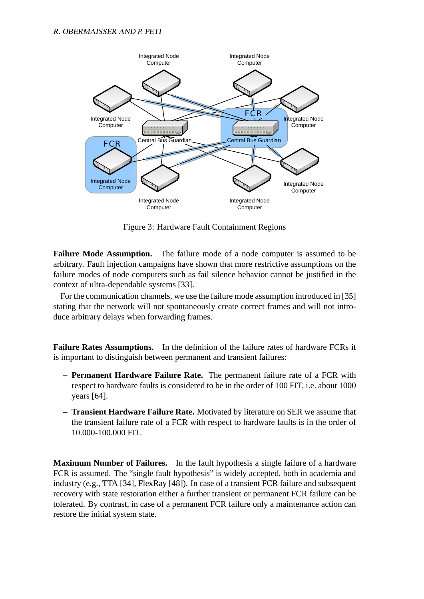

Figure 3: Hardware Fault Containment Regions

**Failure Mode Assumption.** The failure mode of a node computer is assumed to be arbitrary. Fault injection campaigns have shown that more restrictive assumptions on the failure modes of node computers such as fail silence behavior cannot be justified in the context of ultra-dependable systems [33].

For the communication channels, we use the failure mode assumption introduced in [35] stating that the network will not spontaneously create correct frames and will not introduce arbitrary delays when forwarding frames.

**Failure Rates Assumptions.** In the definition of the failure rates of hardware FCRs it is important to distinguish between permanent and transient failures:

- **– Permanent Hardware Failure Rate.** The permanent failure rate of a FCR with respect to hardware faults is considered to be in the order of 100 FIT, i.e. about 1000 years [64].
- **– Transient Hardware Failure Rate.** Motivated by literature on SER we assume that the transient failure rate of a FCR with respect to hardware faults is in the order of 10.000-100.000 FIT.

**Maximum Number of Failures.** In the fault hypothesis a single failure of a hardware FCR is assumed. The "single fault hypothesis" is widely accepted, both in academia and industry (e.g., TTA [34], FlexRay [48]). In case of a transient FCR failure and subsequent recovery with state restoration either a further transient or permanent FCR failure can be tolerated. By contrast, in case of a permanent FCR failure only a maintenance action can restore the initial system state.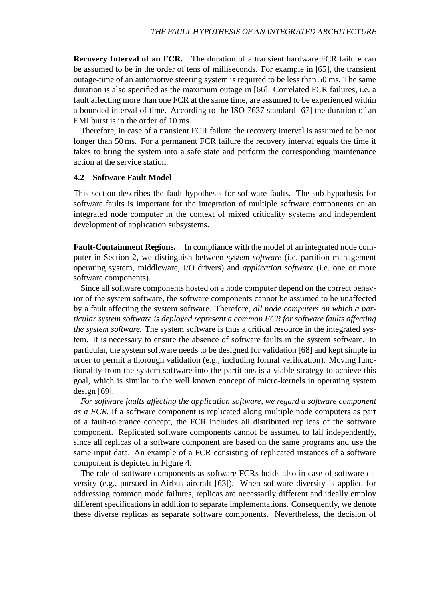**Recovery Interval of an FCR.** The duration of a transient hardware FCR failure can be assumed to be in the order of tens of milliseconds. For example in [65], the transient outage-time of an automotive steering system is required to be less than 50 ms. The same duration is also specified as the maximum outage in [66]. Correlated FCR failures, i.e. a fault affecting more than one FCR at the same time, are assumed to be experienced within a bounded interval of time. According to the ISO 7637 standard [67] the duration of an EMI burst is in the order of 10 ms.

Therefore, in case of a transient FCR failure the recovery interval is assumed to be not longer than 50 ms. For a permanent FCR failure the recovery interval equals the time it takes to bring the system into a safe state and perform the corresponding maintenance action at the service station.

#### **4.2 Software Fault Model**

This section describes the fault hypothesis for software faults. The sub-hypothesis for software faults is important for the integration of multiple software components on an integrated node computer in the context of mixed criticality systems and independent development of application subsystems.

**Fault-Containment Regions.** In compliance with the model of an integrated node computer in Section 2, we distinguish between *system software* (i.e. partition management operating system, middleware, I/O drivers) and *application software* (i.e. one or more software components).

Since all software components hosted on a node computer depend on the correct behavior of the system software, the software components cannot be assumed to be unaffected by a fault affecting the system software. Therefore, *all node computers on which a particular system software is deployed represent a common FCR for software faults affecting the system software.* The system software is thus a critical resource in the integrated system. It is necessary to ensure the absence of software faults in the system software. In particular, the system software needs to be designed for validation [68] and kept simple in order to permit a thorough validation (e.g., including formal verification). Moving functionality from the system software into the partitions is a viable strategy to achieve this goal, which is similar to the well known concept of micro-kernels in operating system design [69].

*For software faults affecting the application software, we regard a software component as a FCR.* If a software component is replicated along multiple node computers as part of a fault-tolerance concept, the FCR includes all distributed replicas of the software component. Replicated software components cannot be assumed to fail independently, since all replicas of a software component are based on the same programs and use the same input data. An example of a FCR consisting of replicated instances of a software component is depicted in Figure 4.

The role of software components as software FCRs holds also in case of software diversity (e.g., pursued in Airbus aircraft [63]). When software diversity is applied for addressing common mode failures, replicas are necessarily different and ideally employ different specifications in addition to separate implementations. Consequently, we denote these diverse replicas as separate software components. Nevertheless, the decision of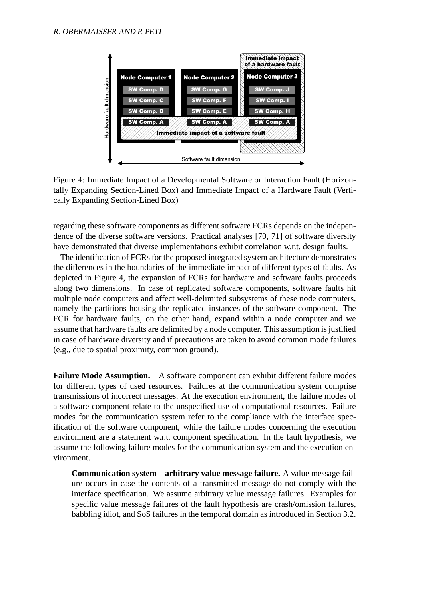

Figure 4: Immediate Impact of a Developmental Software or Interaction Fault (Horizontally Expanding Section-Lined Box) and Immediate Impact of a Hardware Fault (Vertically Expanding Section-Lined Box)

regarding these software components as different software FCRs depends on the independence of the diverse software versions. Practical analyses [70, 71] of software diversity have demonstrated that diverse implementations exhibit correlation w.r.t. design faults.

The identification of FCRs for the proposed integrated system architecture demonstrates the differences in the boundaries of the immediate impact of different types of faults. As depicted in Figure 4, the expansion of FCRs for hardware and software faults proceeds along two dimensions. In case of replicated software components, software faults hit multiple node computers and affect well-delimited subsystems of these node computers, namely the partitions housing the replicated instances of the software component. The FCR for hardware faults, on the other hand, expand within a node computer and we assume that hardware faults are delimited by a node computer. This assumption is justified in case of hardware diversity and if precautions are taken to avoid common mode failures (e.g., due to spatial proximity, common ground).

**Failure Mode Assumption.** A software component can exhibit different failure modes for different types of used resources. Failures at the communication system comprise transmissions of incorrect messages. At the execution environment, the failure modes of a software component relate to the unspecified use of computational resources. Failure modes for the communication system refer to the compliance with the interface specification of the software component, while the failure modes concerning the execution environment are a statement w.r.t. component specification. In the fault hypothesis, we assume the following failure modes for the communication system and the execution environment.

**– Communication system – arbitrary value message failure.** A value message failure occurs in case the contents of a transmitted message do not comply with the interface specification. We assume arbitrary value message failures. Examples for specific value message failures of the fault hypothesis are crash/omission failures, babbling idiot, and SoS failures in the temporal domain as introduced in Section 3.2.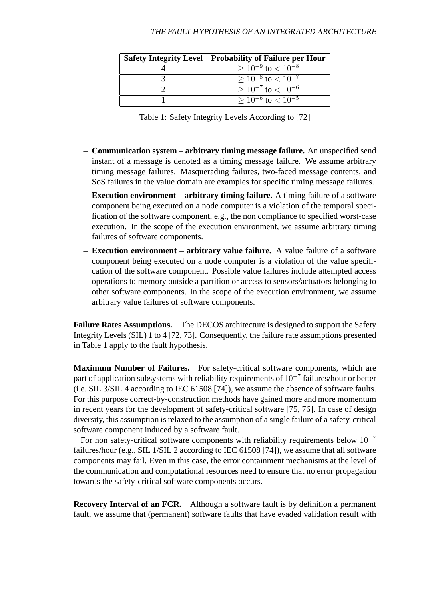| Safety Integrity Level   Probability of Failure per Hour |
|----------------------------------------------------------|
| $> 10^{-9}$ to $< 10^{-8}$                               |
| $> 10^{-8}$ to $< 10^{-7}$                               |
| $> 10^{-7}$ to $< 10^{-6}$                               |
| $> 10^{-6}$ to $< 10^{-5}$                               |

Table 1: Safety Integrity Levels According to [72]

- **– Communication system arbitrary timing message failure.** An unspecified send instant of a message is denoted as a timing message failure. We assume arbitrary timing message failures. Masquerading failures, two-faced message contents, and SoS failures in the value domain are examples for specific timing message failures.
- **– Execution environment arbitrary timing failure.** A timing failure of a software component being executed on a node computer is a violation of the temporal specification of the software component, e.g., the non compliance to specified worst-case execution. In the scope of the execution environment, we assume arbitrary timing failures of software components.
- **– Execution environment arbitrary value failure.** A value failure of a software component being executed on a node computer is a violation of the value specification of the software component. Possible value failures include attempted access operations to memory outside a partition or access to sensors/actuators belonging to other software components. In the scope of the execution environment, we assume arbitrary value failures of software components.

**Failure Rates Assumptions.** The DECOS architecture is designed to support the Safety Integrity Levels (SIL) 1 to 4 [72, 73]. Consequently, the failure rate assumptions presented in Table 1 apply to the fault hypothesis.

**Maximum Number of Failures.** For safety-critical software components, which are part of application subsystems with reliability requirements of  $10^{-7}$  failures/hour or better (i.e. SIL 3/SIL 4 according to IEC 61508 [74]), we assume the absence of software faults. For this purpose correct-by-construction methods have gained more and more momentum in recent years for the development of safety-critical software [75, 76]. In case of design diversity, this assumption is relaxed to the assumption of a single failure of a safety-critical software component induced by a software fault.

For non safety-critical software components with reliability requirements below  $10^{-7}$ failures/hour (e.g., SIL 1/SIL 2 according to IEC 61508 [74]), we assume that all software components may fail. Even in this case, the error containment mechanisms at the level of the communication and computational resources need to ensure that no error propagation towards the safety-critical software components occurs.

**Recovery Interval of an FCR.** Although a software fault is by definition a permanent fault, we assume that (permanent) software faults that have evaded validation result with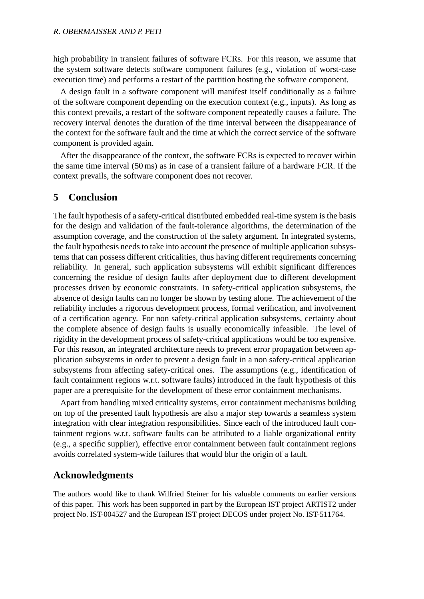high probability in transient failures of software FCRs. For this reason, we assume that the system software detects software component failures (e.g., violation of worst-case execution time) and performs a restart of the partition hosting the software component.

A design fault in a software component will manifest itself conditionally as a failure of the software component depending on the execution context (e.g., inputs). As long as this context prevails, a restart of the software component repeatedly causes a failure. The recovery interval denotes the duration of the time interval between the disappearance of the context for the software fault and the time at which the correct service of the software component is provided again.

After the disappearance of the context, the software FCRs is expected to recover within the same time interval (50 ms) as in case of a transient failure of a hardware FCR. If the context prevails, the software component does not recover.

### **5 Conclusion**

The fault hypothesis of a safety-critical distributed embedded real-time system is the basis for the design and validation of the fault-tolerance algorithms, the determination of the assumption coverage, and the construction of the safety argument. In integrated systems, the fault hypothesis needs to take into account the presence of multiple application subsystems that can possess different criticalities, thus having different requirements concerning reliability. In general, such application subsystems will exhibit significant differences concerning the residue of design faults after deployment due to different development processes driven by economic constraints. In safety-critical application subsystems, the absence of design faults can no longer be shown by testing alone. The achievement of the reliability includes a rigorous development process, formal verification, and involvement of a certification agency. For non safety-critical application subsystems, certainty about the complete absence of design faults is usually economically infeasible. The level of rigidity in the development process of safety-critical applications would be too expensive. For this reason, an integrated architecture needs to prevent error propagation between application subsystems in order to prevent a design fault in a non safety-critical application subsystems from affecting safety-critical ones. The assumptions (e.g., identification of fault containment regions w.r.t. software faults) introduced in the fault hypothesis of this paper are a prerequisite for the development of these error containment mechanisms.

Apart from handling mixed criticality systems, error containment mechanisms building on top of the presented fault hypothesis are also a major step towards a seamless system integration with clear integration responsibilities. Since each of the introduced fault containment regions w.r.t. software faults can be attributed to a liable organizational entity (e.g., a specific supplier), effective error containment between fault containment regions avoids correlated system-wide failures that would blur the origin of a fault.

### **Acknowledgments**

The authors would like to thank Wilfried Steiner for his valuable comments on earlier versions of this paper. This work has been supported in part by the European IST project ARTIST2 under project No. IST-004527 and the European IST project DECOS under project No. IST-511764.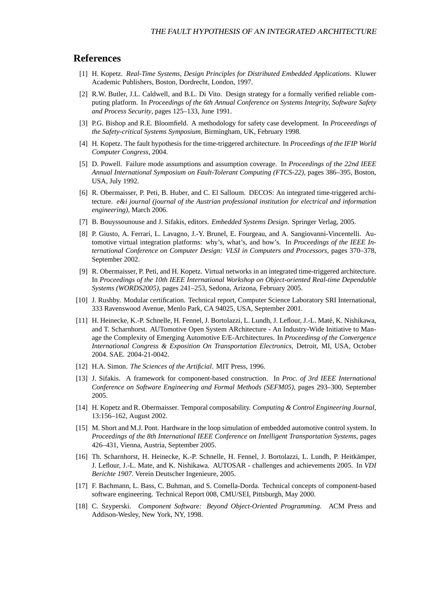#### **References**

- [1] H. Kopetz. *Real-Time Systems, Design Principles for Distributed Embedded Applications*. Kluwer Academic Publishers, Boston, Dordrecht, London, 1997.
- [2] R.W. Butler, J.L. Caldwell, and B.L. Di Vito. Design strategy for a formally verified reliable computing platform. In *Proceedings of the 6th Annual Conference on Systems Integrity, Software Safety and Process Security*, pages 125–133, June 1991.
- [3] P.G. Bishop and R.E. Bloomfield. A methodology for safety case development. In *Proceeedings of the Safety-critical Systems Symposium*, Birmingham, UK, February 1998.
- [4] H. Kopetz. The fault hypothesis for the time-triggered architecture. In *Proceedings of the IFIP World Computer Congress*, 2004.
- [5] D. Powell. Failure mode assumptions and assumption coverage. In *Proceedings of the 22nd IEEE Annual International Symposium on Fault-Tolerant Computing (FTCS-22)*, pages 386–395, Boston, USA, July 1992.
- [6] R. Obermaisser, P. Peti, B. Huber, and C. El Salloum. DECOS: An integrated time-triggered architecture. *e&i journal (journal of the Austrian professional institution for electrical and information engineering)*, March 2006.
- [7] B. Bouyssounouse and J. Sifakis, editors. *Embedded Systems Design*. Springer Verlag, 2005.
- [8] P. Giusto, A. Ferrari, L. Lavagno, J.-Y. Brunel, E. Fourgeau, and A. Sangiovanni-Vincentelli. Automotive virtual integration platforms: why's, what's, and how's. In *Proceedings of the IEEE International Conference on Computer Design: VLSI in Computers and Processors*, pages 370–378, September 2002.
- [9] R. Obermaisser, P. Peti, and H. Kopetz. Virtual networks in an integrated time-triggered architecture. In *Proceedings of the 10th IEEE International Workshop on Object-oriented Real-time Dependable Systems (WORDS2005)*, pages 241–253, Sedona, Arizona, February 2005.
- [10] J. Rushby. Modular certification. Technical report, Computer Science Laboratory SRI International, 333 Ravenswood Avenue, Menlo Park, CA 94025, USA, September 2001.
- [11] H. Heinecke, K.-P. Schnelle, H. Fennel, J. Bortolazzi, L. Lundh, J. Leflour, J.-L. Mate, K. Nishikawa, ´ and T. Scharnhorst. AUTomotive Open System ARchitecture - An Industry-Wide Initiative to Manage the Complexity of Emerging Automotive E/E-Architectures. In *Proceedinsg of the Convergence International Congress & Exposition On Transportation Electronics*, Detroit, MI, USA, October 2004. SAE. 2004-21-0042.
- [12] H.A. Simon. *The Sciences of the Artificial*. MIT Press, 1996.
- [13] J. Sifakis. A framework for component-based construction. In *Proc. of 3rd IEEE International Conference on Software Engineering and Formal Methods (SEFM05)*, pages 293–300, September 2005.
- [14] H. Kopetz and R. Obermaisser. Temporal composability. *Computing & Control Engineering Journal*, 13:156–162, August 2002.
- [15] M. Short and M.J. Pont. Hardware in the loop simulation of embedded automotive control system. In *Proceedings of the 8th International IEEE Conference on Intelligent Transportation Systems*, pages 426–431, Vienna, Austria, September 2005.
- [16] Th. Scharnhorst, H. Heinecke, K.-P. Schnelle, H. Fennel, J. Bortolazzi, L. Lundh, P. Heitkamper, ¨ J. Leflour, J.-L. Mate, and K. Nishikawa. AUTOSAR - challenges and achievements 2005. In *VDI Berichte 1907*. Verein Deutscher Ingenieure, 2005.
- [17] F. Bachmann, L. Bass, C. Buhman, and S. Comella-Dorda. Technical concepts of component-based software engineering. Technical Report 008, CMU/SEI, Pittsburgh, May 2000.
- [18] C. Szyperski. *Component Software: Beyond Object-Oriented Programming*. ACM Press and Addison-Wesley, New York, NY, 1998.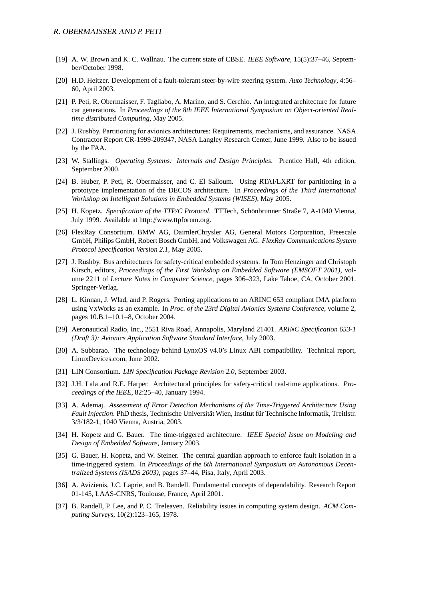- [19] A. W. Brown and K. C. Wallnau. The current state of CBSE. *IEEE Software*, 15(5):37–46, September/October 1998.
- [20] H.D. Heitzer. Development of a fault-tolerant steer-by-wire steering system. *Auto Technology*, 4:56– 60, April 2003.
- [21] P. Peti, R. Obermaisser, F. Tagliabo, A. Marino, and S. Cerchio. An integrated architecture for future car generations. In *Proceedings of the 8th IEEE International Symposium on Object-oriented Realtime distributed Computing*, May 2005.
- [22] J. Rushby. Partitioning for avionics architectures: Requirements, mechanisms, and assurance. NASA Contractor Report CR-1999-209347, NASA Langley Research Center, June 1999. Also to be issued by the FAA.
- [23] W. Stallings. *Operating Systems: Internals and Design Principles*. Prentice Hall, 4th edition, September 2000.
- [24] B. Huber, P. Peti, R. Obermaisser, and C. El Salloum. Using RTAI/LXRT for partitioning in a prototype implementation of the DECOS architecture. In *Proceedings of the Third International Workshop on Intelligent Solutions in Embedded Systems (WISES)*, May 2005.
- [25] H. Kopetz. *Specification of the TTP/C Protocol*. TTTech, Schönbrunner Straße 7, A-1040 Vienna, July 1999. Available at http://www.ttpforum.org.
- [26] FlexRay Consortium. BMW AG, DaimlerChrysler AG, General Motors Corporation, Freescale GmbH, Philips GmbH, Robert Bosch GmbH, and Volkswagen AG. *FlexRay Communications System Protocol Specification Version 2.1*, May 2005.
- [27] J. Rushby. Bus architectures for safety-critical embedded systems. In Tom Henzinger and Christoph Kirsch, editors, *Proceedings of the First Workshop on Embedded Software (EMSOFT 2001)*, volume 2211 of *Lecture Notes in Computer Science*, pages 306–323, Lake Tahoe, CA, October 2001. Springer-Verlag.
- [28] L. Kinnan, J. Wlad, and P. Rogers. Porting applications to an ARINC 653 compliant IMA platform using VxWorks as an example. In *Proc. of the 23rd Digital Avionics Systems Conference*, volume 2, pages 10.B.1–10.1–8, October 2004.
- [29] Aeronautical Radio, Inc., 2551 Riva Road, Annapolis, Maryland 21401. *ARINC Specification 653-1 (Draft 3): Avionics Application Software Standard Interface*, July 2003.
- [30] A. Subbarao. The technology behind LynxOS v4.0's Linux ABI compatibility. Technical report, LinuxDevices.com, June 2002.
- [31] LIN Consortium. *LIN Specification Package Revision 2.0*, September 2003.
- [32] J.H. Lala and R.E. Harper. Architectural principles for safety-critical real-time applications. *Proceedings of the IEEE*, 82:25–40, January 1994.
- [33] A. Ademaj. *Assessment of Error Detection Mechanisms of the Time-Triggered Architecture Using Fault Injection*. PhD thesis, Technische Universität Wien, Institut für Technische Informatik, Treitlstr. 3/3/182-1, 1040 Vienna, Austria, 2003.
- [34] H. Kopetz and G. Bauer. The time-triggered architecture. *IEEE Special Issue on Modeling and Design of Embedded Software*, January 2003.
- [35] G. Bauer, H. Kopetz, and W. Steiner. The central guardian approach to enforce fault isolation in a time-triggered system. In *Proceedings of the 6th International Symposium on Autonomous Decentralized Systems (ISADS 2003)*, pages 37–44, Pisa, Italy, April 2003.
- [36] A. Avizienis, J.C. Laprie, and B. Randell. Fundamental concepts of dependability. Research Report 01-145, LAAS-CNRS, Toulouse, France, April 2001.
- [37] B. Randell, P. Lee, and P. C. Treleaven. Reliability issues in computing system design. *ACM Computing Surveys*, 10(2):123–165, 1978.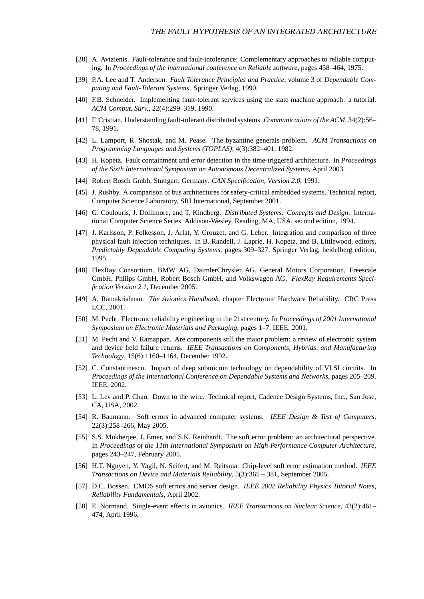- [38] A. Avizienis. Fault-tolerance and fault-intolerance: Complementary approaches to reliable computing. In *Proceedings of the international conference on Reliable software*, pages 458–464, 1975.
- [39] P.A. Lee and T. Anderson. *Fault Tolerance Principles and Practice*, volume 3 of *Dependable Computing and Fault-Tolerant Systems*. Springer Verlag, 1990.
- [40] F.B. Schneider. Implementing fault-tolerant services using the state machine approach: a tutorial. *ACM Comput. Surv.*, 22(4):299–319, 1990.
- [41] F. Cristian. Understanding fault-tolerant distributed systems. *Communications of the ACM*, 34(2):56– 78, 1991.
- [42] L. Lamport, R. Shostak, and M. Pease. The byzantine generals problem. *ACM Transactions on Programming Languages and Systems (TOPLAS)*, 4(3):382–401, 1982.
- [43] H. Kopetz. Fault containment and error detection in the time-triggered architecture. In *Proceedings of the Sixth International Symposium on Autonomous Decentralized Systems*, April 2003.
- [44] Robert Bosch Gmbh, Stuttgart, Germany. *CAN Specification, Version 2.0*, 1991.
- [45] J. Rushby. A comparison of bus architectures for safety-critical embedded systems. Technical report, Computer Science Laboratory, SRI International, September 2001.
- [46] G. Coulouris, J. Dollimore, and T. Kindberg. *Distributed Systems: Concepts and Design*. International Computer Science Series. Addison-Wesley, Reading, MA, USA, second edition, 1994.
- [47] J. Karlsson, P. Folkesson, J. Arlat, Y. Crouzet, and G. Leber. Integration and comparison of three physical fault injection techniques. In B. Randell, J. Laprie, H. Kopetz, and B. Littlewood, editors, *Predictably Dependable Computing Systems*, pages 309–327. Springer Verlag, heidelberg edition, 1995.
- [48] FlexRay Consortium. BMW AG, DaimlerChrysler AG, General Motors Corporation, Freescale GmbH, Philips GmbH, Robert Bosch GmbH, and Volkswagen AG. *FlexRay Requirements Specification Version 2.1*, December 2005.
- [49] A. Ramakrishnan. *The Avionics Handbook*, chapter Electronic Hardware Reliability. CRC Press LCC, 2001.
- [50] M. Pecht. Electronic reliability engineering in the 21st century. In *Proceedings of 2001 International Symposium on Electronic Materials and Packaging*, pages 1–7. IEEE, 2001.
- [51] M. Pecht and V. Ramappan. Are components still the major problem: a review of electronic system and device field failure returns. *IEEE Transactions on Components, Hybrids, and Manufacturing Technology*, 15(6):1160–1164, December 1992.
- [52] C. Constantinescu. Impact of deep submicron technology on dependability of VLSI circuits. In *Proceedings of the International Conference on Dependable Systems and Networks*, pages 205–209. IEEE, 2002.
- [53] L. Lev and P. Chao. Down to the wire. Technical report, Cadence Design Systems, Inc., San Jose, CA, USA, 2002.
- [54] R. Baumann. Soft errors in advanced computer systems. *IEEE Design & Test of Computers*, 22(3):258–266, May 2005.
- [55] S.S. Mukherjee, J. Emer, and S.K. Reinhardt. The soft error problem: an architectural perspective. In *Proceedings of the 11th International Symposium on High-Performance Computer Architecture*, pages 243–247, February 2005.
- [56] H.T. Nguyen, Y. Yagil, N. Seifert, and M. Reitsma. Chip-level soft error estimation method. *IEEE Transactions on Device and Materials Reliability*, 5(3):365 – 381, September 2005.
- [57] D.C. Bossen. CMOS soft errors and server design. *IEEE 2002 Reliability Physics Tutorial Notes, Reliability Fundamentals*, April 2002.
- [58] E. Normand. Single-event effects in avionics. *IEEE Transactions on Nuclear Science*, 43(2):461– 474, April 1996.